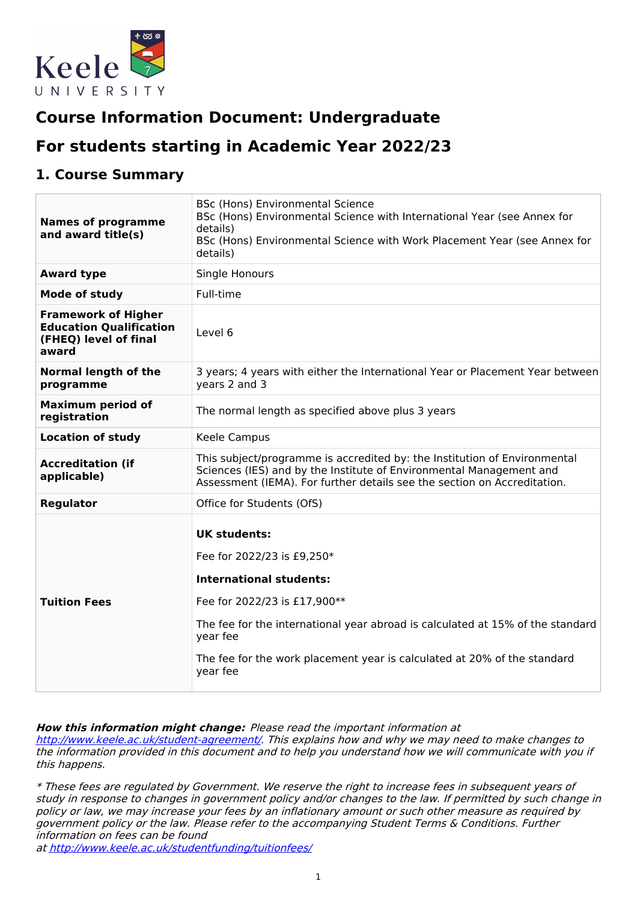

# **Course Information Document: Undergraduate**

# **For students starting in Academic Year 2022/23**

## **1. Course Summary**

| <b>Names of programme</b><br>and award title(s)                                                | <b>BSc (Hons) Environmental Science</b><br>BSc (Hons) Environmental Science with International Year (see Annex for<br>details)<br>BSc (Hons) Environmental Science with Work Placement Year (see Annex for<br>details)                                                                                    |
|------------------------------------------------------------------------------------------------|-----------------------------------------------------------------------------------------------------------------------------------------------------------------------------------------------------------------------------------------------------------------------------------------------------------|
| <b>Award type</b>                                                                              | Single Honours                                                                                                                                                                                                                                                                                            |
| <b>Mode of study</b>                                                                           | Full-time                                                                                                                                                                                                                                                                                                 |
| <b>Framework of Higher</b><br><b>Education Qualification</b><br>(FHEQ) level of final<br>award | Level 6                                                                                                                                                                                                                                                                                                   |
| <b>Normal length of the</b><br>programme                                                       | 3 years; 4 years with either the International Year or Placement Year between<br>years 2 and 3                                                                                                                                                                                                            |
| <b>Maximum period of</b><br>registration                                                       | The normal length as specified above plus 3 years                                                                                                                                                                                                                                                         |
| <b>Location of study</b>                                                                       | Keele Campus                                                                                                                                                                                                                                                                                              |
| <b>Accreditation (if</b><br>applicable)                                                        | This subject/programme is accredited by: the Institution of Environmental<br>Sciences (IES) and by the Institute of Environmental Management and<br>Assessment (IEMA). For further details see the section on Accreditation.                                                                              |
| <b>Regulator</b>                                                                               | Office for Students (OfS)                                                                                                                                                                                                                                                                                 |
| <b>Tuition Fees</b>                                                                            | <b>UK students:</b><br>Fee for 2022/23 is £9,250*<br><b>International students:</b><br>Fee for 2022/23 is £17,900**<br>The fee for the international year abroad is calculated at 15% of the standard<br>year fee<br>The fee for the work placement year is calculated at 20% of the standard<br>year fee |

#### **How this information might change:** Please read the important information at

<http://www.keele.ac.uk/student-agreement/>. This explains how and why we may need to make changes to the information provided in this document and to help you understand how we will communicate with you if this happens.

\* These fees are regulated by Government. We reserve the right to increase fees in subsequent years of study in response to changes in government policy and/or changes to the law. If permitted by such change in policy or law, we may increase your fees by an inflationary amount or such other measure as required by government policy or the law. Please refer to the accompanying Student Terms & Conditions. Further information on fees can be found

at <http://www.keele.ac.uk/studentfunding/tuitionfees/>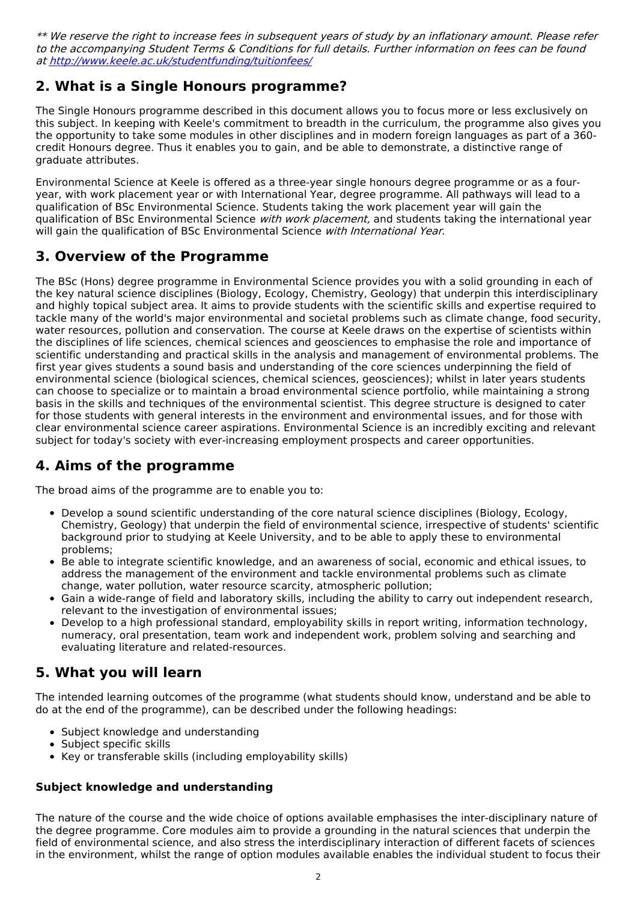\*\* We reserve the right to increase fees in subsequent years of study by an inflationary amount. Please refer to the accompanying Student Terms & Conditions for full details. Further information on fees can be found at <http://www.keele.ac.uk/studentfunding/tuitionfees/>

# **2. What is a Single Honours programme?**

The Single Honours programme described in this document allows you to focus more or less exclusively on this subject. In keeping with Keele's commitment to breadth in the curriculum, the programme also gives you the opportunity to take some modules in other disciplines and in modern foreign languages as part of a 360 credit Honours degree. Thus it enables you to gain, and be able to demonstrate, a distinctive range of graduate attributes.

Environmental Science at Keele is offered as a three-year single honours degree programme or as a fouryear, with work placement year or with International Year, degree programme. All pathways will lead to a qualification of BSc Environmental Science. Students taking the work placement year will gain the qualification of BSc Environmental Science *with work placement*, and students taking the international year will gain the qualification of BSc Environmental Science with International Year.

# **3. Overview of the Programme**

The BSc (Hons) degree programme in Environmental Science provides you with a solid grounding in each of the key natural science disciplines (Biology, Ecology, Chemistry, Geology) that underpin this interdisciplinary and highly topical subject area. It aims to provide students with the scientific skills and expertise required to tackle many of the world's major environmental and societal problems such as climate change, food security, water resources, pollution and conservation. The course at Keele draws on the expertise of scientists within the disciplines of life sciences, chemical sciences and geosciences to emphasise the role and importance of scientific understanding and practical skills in the analysis and management of environmental problems. The first year gives students a sound basis and understanding of the core sciences underpinning the field of environmental science (biological sciences, chemical sciences, geosciences); whilst in later years students can choose to specialize or to maintain a broad environmental science portfolio, while maintaining a strong basis in the skills and techniques of the environmental scientist. This degree structure is designed to cater for those students with general interests in the environment and environmental issues, and for those with clear environmental science career aspirations. Environmental Science is an incredibly exciting and relevant subject for today's society with ever-increasing employment prospects and career opportunities.

# **4. Aims of the programme**

The broad aims of the programme are to enable you to:

- Develop a sound scientific understanding of the core natural science disciplines (Biology, Ecology, Chemistry, Geology) that underpin the field of environmental science, irrespective of students' scientific background prior to studying at Keele University, and to be able to apply these to environmental problems;
- Be able to integrate scientific knowledge, and an awareness of social, economic and ethical issues, to address the management of the environment and tackle environmental problems such as climate change, water pollution, water resource scarcity, atmospheric pollution;
- Gain a wide-range of field and laboratory skills, including the ability to carry out independent research, relevant to the investigation of environmental issues;
- Develop to a high professional standard, employability skills in report writing, information technology, numeracy, oral presentation, team work and independent work, problem solving and searching and evaluating literature and related-resources.

# **5. What you will learn**

The intended learning outcomes of the programme (what students should know, understand and be able to do at the end of the programme), can be described under the following headings:

- Subject knowledge and understanding
- Subject specific skills
- Key or transferable skills (including employability skills)

### **Subject knowledge and understanding**

The nature of the course and the wide choice of options available emphasises the inter-disciplinary nature of the degree programme. Core modules aim to provide a grounding in the natural sciences that underpin the field of environmental science, and also stress the interdisciplinary interaction of different facets of sciences in the environment, whilst the range of option modules available enables the individual student to focus their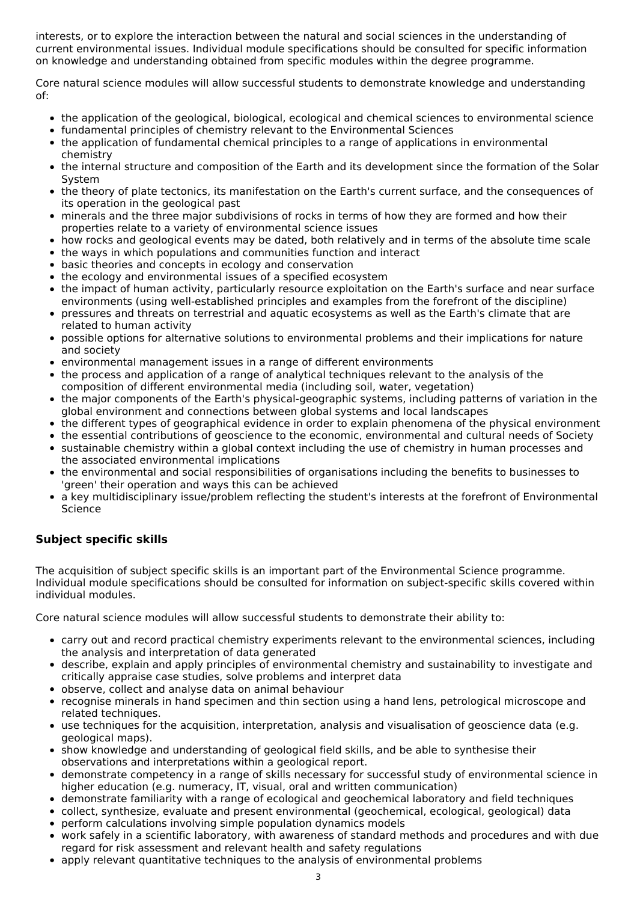interests, or to explore the interaction between the natural and social sciences in the understanding of current environmental issues. Individual module specifications should be consulted for specific information on knowledge and understanding obtained from specific modules within the degree programme.

Core natural science modules will allow successful students to demonstrate knowledge and understanding of:

- the application of the geological, biological, ecological and chemical sciences to environmental science
- fundamental principles of chemistry relevant to the Environmental Sciences
- the application of fundamental chemical principles to a range of applications in environmental chemistry
- the internal structure and composition of the Earth and its development since the formation of the Solar  $\bullet$ System
- the theory of plate tectonics, its manifestation on the Earth's current surface, and the consequences of  $\bullet$ its operation in the geological past
- minerals and the three major subdivisions of rocks in terms of how they are formed and how their properties relate to a variety of environmental science issues
- how rocks and geological events may be dated, both relatively and in terms of the absolute time scale
- the ways in which populations and communities function and interact
- basic theories and concepts in ecology and conservation
- the ecology and environmental issues of a specified ecosystem
- the impact of human activity, particularly resource exploitation on the Earth's surface and near surface  $\bullet$ environments (using well-established principles and examples from the forefront of the discipline)
- pressures and threats on terrestrial and aquatic ecosystems as well as the Earth's climate that are  $\bullet$ related to human activity
- possible options for alternative solutions to environmental problems and their implications for nature  $\bullet$ and society
- environmental management issues in a range of different environments
- the process and application of a range of analytical techniques relevant to the analysis of the composition of different environmental media (including soil, water, vegetation)
- the major components of the Earth's physical-geographic systems, including patterns of variation in the global environment and connections between global systems and local landscapes
- the different types of geographical evidence in order to explain phenomena of the physical environment
- the essential contributions of geoscience to the economic, environmental and cultural needs of Society
- sustainable chemistry within a global context including the use of chemistry in human processes and the associated environmental implications
- the environmental and social responsibilities of organisations including the benefits to businesses to 'green' their operation and ways this can be achieved
- a key multidisciplinary issue/problem reflecting the student's interests at the forefront of Environmental Science

### **Subject specific skills**

The acquisition of subject specific skills is an important part of the Environmental Science programme. Individual module specifications should be consulted for information on subject-specific skills covered within individual modules.

Core natural science modules will allow successful students to demonstrate their ability to:

- carry out and record practical chemistry experiments relevant to the environmental sciences, including the analysis and interpretation of data generated
- describe, explain and apply principles of environmental chemistry and sustainability to investigate and critically appraise case studies, solve problems and interpret data
- observe, collect and analyse data on animal behaviour
- recognise minerals in hand specimen and thin section using a hand lens, petrological microscope and  $\bullet$ related techniques.
- use techniques for the acquisition, interpretation, analysis and visualisation of geoscience data (e.g. geological maps).
- show knowledge and understanding of geological field skills, and be able to synthesise their observations and interpretations within a geological report.
- demonstrate competency in a range of skills necessary for successful study of environmental science in higher education (e.g. numeracy, IT, visual, oral and written communication)
- demonstrate familiarity with a range of ecological and geochemical laboratory and field techniques
- collect, synthesize, evaluate and present environmental (geochemical, ecological, geological) data
- $\bullet$ perform calculations involving simple population dynamics models
- work safely in a scientific laboratory, with awareness of standard methods and procedures and with due regard for risk assessment and relevant health and safety regulations
- apply relevant quantitative techniques to the analysis of environmental problems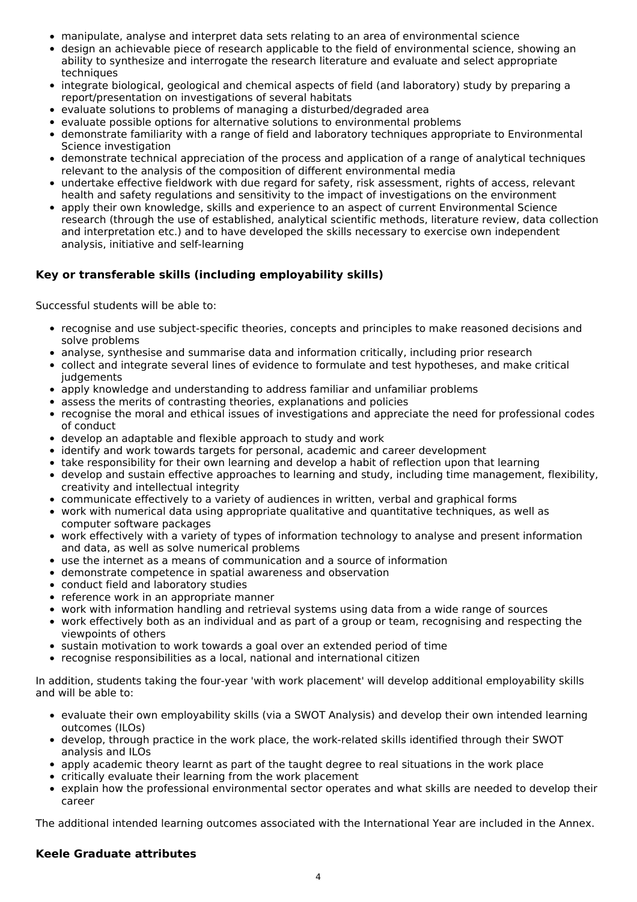- manipulate, analyse and interpret data sets relating to an area of environmental science
- design an achievable piece of research applicable to the field of environmental science, showing an ability to synthesize and interrogate the research literature and evaluate and select appropriate techniques
- integrate biological, geological and chemical aspects of field (and laboratory) study by preparing a report/presentation on investigations of several habitats
- evaluate solutions to problems of managing a disturbed/degraded area
- evaluate possible options for alternative solutions to environmental problems
- demonstrate familiarity with a range of field and laboratory techniques appropriate to Environmental Science investigation
- demonstrate technical appreciation of the process and application of a range of analytical techniques relevant to the analysis of the composition of different environmental media
- $\bullet$ undertake effective fieldwork with due regard for safety, risk assessment, rights of access, relevant health and safety regulations and sensitivity to the impact of investigations on the environment
- apply their own knowledge, skills and experience to an aspect of current Environmental Science research (through the use of established, analytical scientific methods, literature review, data collection and interpretation etc.) and to have developed the skills necessary to exercise own independent analysis, initiative and self-learning

### **Key or transferable skills (including employability skills)**

Successful students will be able to:

- recognise and use subject-specific theories, concepts and principles to make reasoned decisions and solve problems
- analyse, synthesise and summarise data and information critically, including prior research
- collect and integrate several lines of evidence to formulate and test hypotheses, and make critical judgements
- apply knowledge and understanding to address familiar and unfamiliar problems
- assess the merits of contrasting theories, explanations and policies
- recognise the moral and ethical issues of investigations and appreciate the need for professional codes of conduct
- develop an adaptable and flexible approach to study and work
- identify and work towards targets for personal, academic and career development
- take responsibility for their own learning and develop a habit of reflection upon that learning
- develop and sustain effective approaches to learning and study, including time management, flexibility, creativity and intellectual integrity
- communicate effectively to a variety of audiences in written, verbal and graphical forms
- work with numerical data using appropriate qualitative and quantitative techniques, as well as computer software packages
- work effectively with a variety of types of information technology to analyse and present information and data, as well as solve numerical problems
- use the internet as a means of communication and a source of information
- demonstrate competence in spatial awareness and observation
- conduct field and laboratory studies
- reference work in an appropriate manner
- work with information handling and retrieval systems using data from a wide range of sources
- work effectively both as an individual and as part of a group or team, recognising and respecting the viewpoints of others
- sustain motivation to work towards a goal over an extended period of time
- recognise responsibilities as a local, national and international citizen

In addition, students taking the four-year 'with work placement' will develop additional employability skills and will be able to:

- evaluate their own employability skills (via a SWOT Analysis) and develop their own intended learning outcomes (ILOs)
- develop, through practice in the work place, the work-related skills identified through their SWOT analysis and ILOs
- apply academic theory learnt as part of the taught degree to real situations in the work place
- critically evaluate their learning from the work placement
- $\bullet$ explain how the professional environmental sector operates and what skills are needed to develop their career

The additional intended learning outcomes associated with the International Year are included in the Annex.

### **Keele Graduate attributes**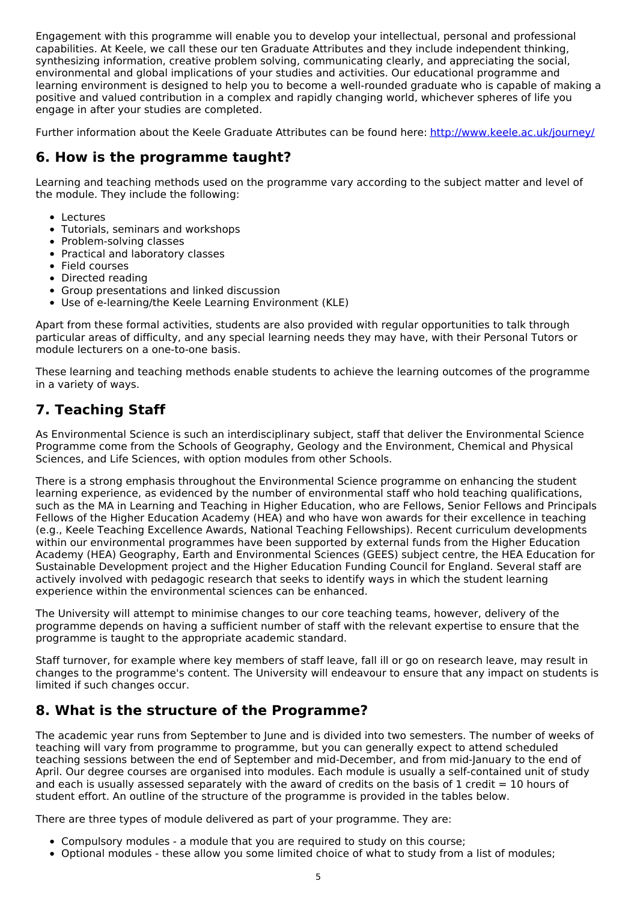Engagement with this programme will enable you to develop your intellectual, personal and professional capabilities. At Keele, we call these our ten Graduate Attributes and they include independent thinking, synthesizing information, creative problem solving, communicating clearly, and appreciating the social, environmental and global implications of your studies and activities. Our educational programme and learning environment is designed to help you to become a well-rounded graduate who is capable of making a positive and valued contribution in a complex and rapidly changing world, whichever spheres of life you engage in after your studies are completed.

Further information about the Keele Graduate Attributes can be found here: <http://www.keele.ac.uk/journey/>

## **6. How is the programme taught?**

Learning and teaching methods used on the programme vary according to the subject matter and level of the module. They include the following:

- Lectures
- Tutorials, seminars and workshops
- Problem-solving classes
- Practical and laboratory classes
- Field courses
- Directed reading
- Group presentations and linked discussion
- Use of e-learning/the Keele Learning Environment (KLE)

Apart from these formal activities, students are also provided with regular opportunities to talk through particular areas of difficulty, and any special learning needs they may have, with their Personal Tutors or module lecturers on a one-to-one basis.

These learning and teaching methods enable students to achieve the learning outcomes of the programme in a variety of ways.

# **7. Teaching Staff**

As Environmental Science is such an interdisciplinary subject, staff that deliver the Environmental Science Programme come from the Schools of Geography, Geology and the Environment, Chemical and Physical Sciences, and Life Sciences, with option modules from other Schools.

There is a strong emphasis throughout the Environmental Science programme on enhancing the student learning experience, as evidenced by the number of environmental staff who hold teaching qualifications, such as the MA in Learning and Teaching in Higher Education, who are Fellows, Senior Fellows and Principals Fellows of the Higher Education Academy (HEA) and who have won awards for their excellence in teaching (e.g., Keele Teaching Excellence Awards, National Teaching Fellowships). Recent curriculum developments within our environmental programmes have been supported by external funds from the Higher Education Academy (HEA) Geography, Earth and Environmental Sciences (GEES) subject centre, the HEA Education for Sustainable Development project and the Higher Education Funding Council for England. Several staff are actively involved with pedagogic research that seeks to identify ways in which the student learning experience within the environmental sciences can be enhanced.

The University will attempt to minimise changes to our core teaching teams, however, delivery of the programme depends on having a sufficient number of staff with the relevant expertise to ensure that the programme is taught to the appropriate academic standard.

Staff turnover, for example where key members of staff leave, fall ill or go on research leave, may result in changes to the programme's content. The University will endeavour to ensure that any impact on students is limited if such changes occur.

# **8. What is the structure of the Programme?**

The academic year runs from September to June and is divided into two semesters. The number of weeks of teaching will vary from programme to programme, but you can generally expect to attend scheduled teaching sessions between the end of September and mid-December, and from mid-January to the end of April. Our degree courses are organised into modules. Each module is usually a self-contained unit of study and each is usually assessed separately with the award of credits on the basis of 1 credit  $= 10$  hours of student effort. An outline of the structure of the programme is provided in the tables below.

There are three types of module delivered as part of your programme. They are:

- Compulsory modules a module that you are required to study on this course;
- Optional modules these allow you some limited choice of what to study from a list of modules;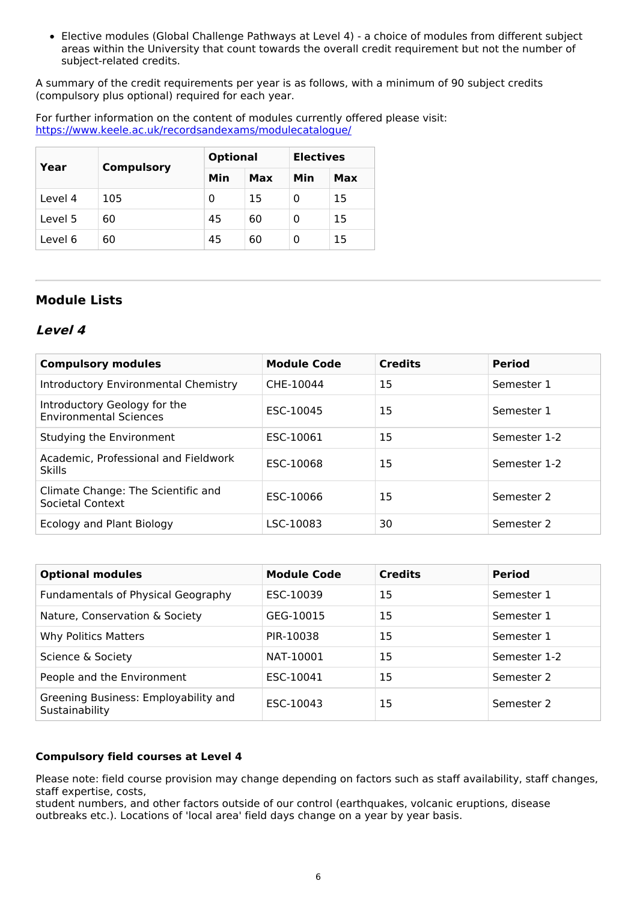Elective modules (Global Challenge Pathways at Level 4) - a choice of modules from different subject areas within the University that count towards the overall credit requirement but not the number of subject-related credits.

A summary of the credit requirements per year is as follows, with a minimum of 90 subject credits (compulsory plus optional) required for each year.

For further information on the content of modules currently offered please visit: <https://www.keele.ac.uk/recordsandexams/modulecatalogue/>

| Year    | <b>Compulsory</b> | <b>Optional</b> |     | <b>Electives</b> |     |
|---------|-------------------|-----------------|-----|------------------|-----|
|         |                   | Min             | Max | Min              | Max |
| Level 4 | 105               | 0               | 15  | Ω                | 15  |
| Level 5 | 60                | 45              | 60  | 0                | 15  |
| Level 6 | 60                | 45              | 60  | 0                | 15  |

### **Module Lists**

### **Level 4**

| <b>Compulsory modules</b>                                     | <b>Module Code</b> | <b>Credits</b> | <b>Period</b> |
|---------------------------------------------------------------|--------------------|----------------|---------------|
| Introductory Environmental Chemistry                          | CHE-10044          | 15             | Semester 1    |
| Introductory Geology for the<br><b>Environmental Sciences</b> | ESC-10045          | 15             | Semester 1    |
| Studying the Environment                                      | ESC-10061          | 15             | Semester 1-2  |
| Academic, Professional and Fieldwork<br><b>Skills</b>         | ESC-10068          | 15             | Semester 1-2  |
| Climate Change: The Scientific and<br>Societal Context        | ESC-10066          | 15             | Semester 2    |
| Ecology and Plant Biology                                     | LSC-10083          | 30             | Semester 2    |

| <b>Optional modules</b>                                | <b>Module Code</b> | <b>Credits</b> | <b>Period</b> |
|--------------------------------------------------------|--------------------|----------------|---------------|
| Fundamentals of Physical Geography                     | ESC-10039          | 15             | Semester 1    |
| Nature, Conservation & Society                         | GEG-10015          | 15             | Semester 1    |
| <b>Why Politics Matters</b>                            | PIR-10038          | 15             | Semester 1    |
| Science & Society                                      | NAT-10001          | 15             | Semester 1-2  |
| People and the Environment                             | ESC-10041          | 15             | Semester 2    |
| Greening Business: Employability and<br>Sustainability | ESC-10043          | 15             | Semester 2    |

### **Compulsory field courses at Level 4**

Please note: field course provision may change depending on factors such as staff availability, staff changes, staff expertise, costs,

student numbers, and other factors outside of our control (earthquakes, volcanic eruptions, disease outbreaks etc.). Locations of 'local area' field days change on a year by year basis.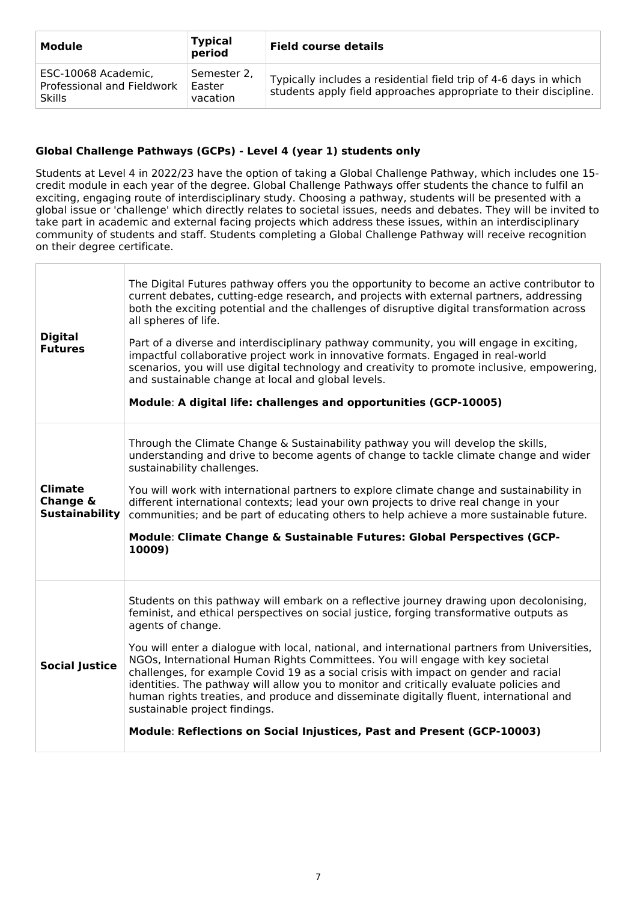| Module                                                             | <b>Typical</b><br>period          | <b>Field course details</b>                                                                                                          |
|--------------------------------------------------------------------|-----------------------------------|--------------------------------------------------------------------------------------------------------------------------------------|
| ESC-10068 Academic,<br>Professional and Fieldwork<br><b>Skills</b> | Semester 2.<br>Easter<br>vacation | Typically includes a residential field trip of 4-6 days in which<br>students apply field approaches appropriate to their discipline. |

### **Global Challenge Pathways (GCPs) - Level 4 (year 1) students only**

Students at Level 4 in 2022/23 have the option of taking a Global Challenge Pathway, which includes one 15 credit module in each year of the degree. Global Challenge Pathways offer students the chance to fulfil an exciting, engaging route of interdisciplinary study. Choosing a pathway, students will be presented with a global issue or 'challenge' which directly relates to societal issues, needs and debates. They will be invited to take part in academic and external facing projects which address these issues, within an interdisciplinary community of students and staff. Students completing a Global Challenge Pathway will receive recognition on their degree certificate.

| <b>Digital</b><br><b>Futures</b>                    | The Digital Futures pathway offers you the opportunity to become an active contributor to<br>current debates, cutting-edge research, and projects with external partners, addressing<br>both the exciting potential and the challenges of disruptive digital transformation across<br>all spheres of life.<br>Part of a diverse and interdisciplinary pathway community, you will engage in exciting,<br>impactful collaborative project work in innovative formats. Engaged in real-world<br>scenarios, you will use digital technology and creativity to promote inclusive, empowering,<br>and sustainable change at local and global levels.<br>Module: A digital life: challenges and opportunities (GCP-10005)                                                               |
|-----------------------------------------------------|-----------------------------------------------------------------------------------------------------------------------------------------------------------------------------------------------------------------------------------------------------------------------------------------------------------------------------------------------------------------------------------------------------------------------------------------------------------------------------------------------------------------------------------------------------------------------------------------------------------------------------------------------------------------------------------------------------------------------------------------------------------------------------------|
| <b>Climate</b><br>Change &<br><b>Sustainability</b> | Through the Climate Change & Sustainability pathway you will develop the skills,<br>understanding and drive to become agents of change to tackle climate change and wider<br>sustainability challenges.<br>You will work with international partners to explore climate change and sustainability in<br>different international contexts; lead your own projects to drive real change in your<br>communities; and be part of educating others to help achieve a more sustainable future.<br>Module: Climate Change & Sustainable Futures: Global Perspectives (GCP-<br>10009)                                                                                                                                                                                                     |
| <b>Social Justice</b>                               | Students on this pathway will embark on a reflective journey drawing upon decolonising,<br>feminist, and ethical perspectives on social justice, forging transformative outputs as<br>agents of change.<br>You will enter a dialogue with local, national, and international partners from Universities,<br>NGOs, International Human Rights Committees. You will engage with key societal<br>challenges, for example Covid 19 as a social crisis with impact on gender and racial<br>identities. The pathway will allow you to monitor and critically evaluate policies and<br>human rights treaties, and produce and disseminate digitally fluent, international and<br>sustainable project findings.<br>Module: Reflections on Social Injustices, Past and Present (GCP-10003) |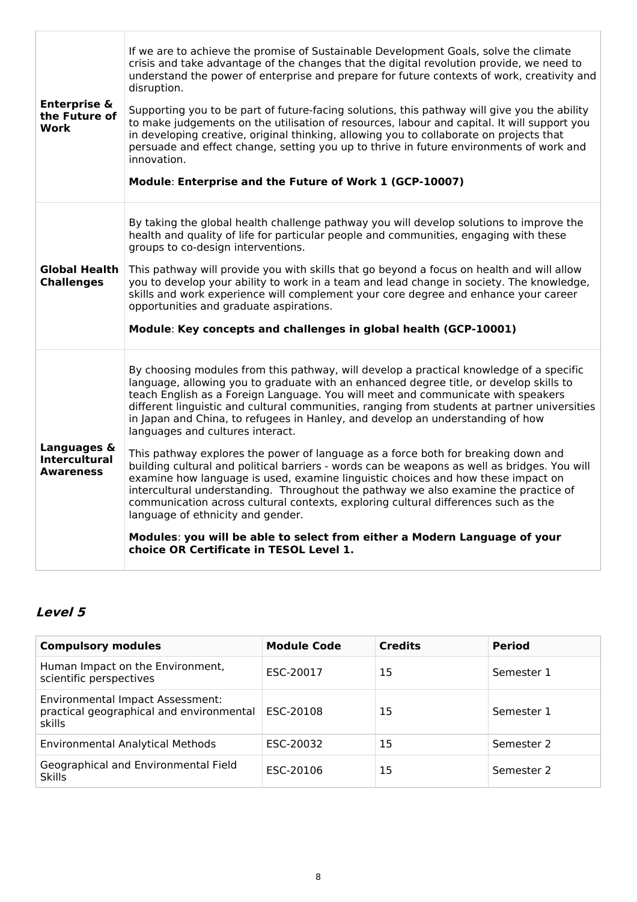| <b>Enterprise &amp;</b><br>the Future of<br><b>Work</b> | If we are to achieve the promise of Sustainable Development Goals, solve the climate<br>crisis and take advantage of the changes that the digital revolution provide, we need to<br>understand the power of enterprise and prepare for future contexts of work, creativity and<br>disruption.<br>Supporting you to be part of future-facing solutions, this pathway will give you the ability<br>to make judgements on the utilisation of resources, labour and capital. It will support you<br>in developing creative, original thinking, allowing you to collaborate on projects that<br>persuade and effect change, setting you up to thrive in future environments of work and<br>innovation.<br>Module: Enterprise and the Future of Work 1 (GCP-10007)                                                                                                                                                                                                                                                                                                                                                   |
|---------------------------------------------------------|----------------------------------------------------------------------------------------------------------------------------------------------------------------------------------------------------------------------------------------------------------------------------------------------------------------------------------------------------------------------------------------------------------------------------------------------------------------------------------------------------------------------------------------------------------------------------------------------------------------------------------------------------------------------------------------------------------------------------------------------------------------------------------------------------------------------------------------------------------------------------------------------------------------------------------------------------------------------------------------------------------------------------------------------------------------------------------------------------------------|
| <b>Global Health</b><br><b>Challenges</b>               | By taking the global health challenge pathway you will develop solutions to improve the<br>health and quality of life for particular people and communities, engaging with these<br>groups to co-design interventions.<br>This pathway will provide you with skills that go beyond a focus on health and will allow<br>you to develop your ability to work in a team and lead change in society. The knowledge,<br>skills and work experience will complement your core degree and enhance your career<br>opportunities and graduate aspirations.<br>Module: Key concepts and challenges in global health (GCP-10001)                                                                                                                                                                                                                                                                                                                                                                                                                                                                                          |
| Languages &<br><b>Intercultural</b><br><b>Awareness</b> | By choosing modules from this pathway, will develop a practical knowledge of a specific<br>language, allowing you to graduate with an enhanced degree title, or develop skills to<br>teach English as a Foreign Language. You will meet and communicate with speakers<br>different linguistic and cultural communities, ranging from students at partner universities<br>in Japan and China, to refugees in Hanley, and develop an understanding of how<br>languages and cultures interact.<br>This pathway explores the power of language as a force both for breaking down and<br>building cultural and political barriers - words can be weapons as well as bridges. You will<br>examine how language is used, examine linguistic choices and how these impact on<br>intercultural understanding. Throughout the pathway we also examine the practice of<br>communication across cultural contexts, exploring cultural differences such as the<br>language of ethnicity and gender.<br>Modules: you will be able to select from either a Modern Language of your<br>choice OR Certificate in TESOL Level 1. |

# **Level 5**

| <b>Compulsory modules</b>                                                              | <b>Module Code</b> | <b>Credits</b> | <b>Period</b> |
|----------------------------------------------------------------------------------------|--------------------|----------------|---------------|
| Human Impact on the Environment,<br>scientific perspectives                            | ESC-20017          | 15             | Semester 1    |
| Environmental Impact Assessment:<br>practical geographical and environmental<br>skills | ESC-20108          | 15             | Semester 1    |
| <b>Environmental Analytical Methods</b>                                                | ESC-20032          | 15             | Semester 2    |
| Geographical and Environmental Field<br><b>Skills</b>                                  | ESC-20106          | 15             | Semester 2    |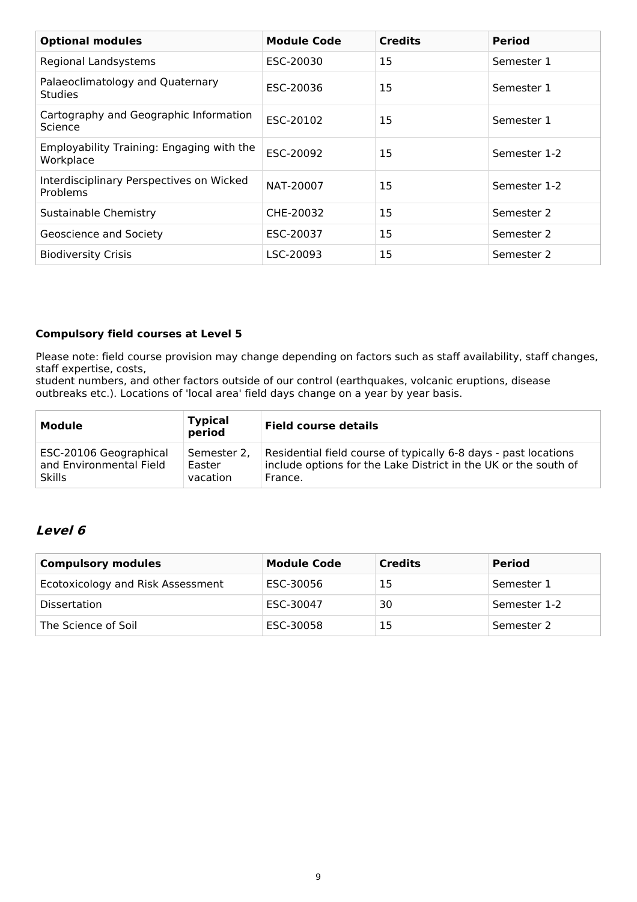| <b>Optional modules</b>                                | <b>Module Code</b> | <b>Credits</b> | <b>Period</b> |
|--------------------------------------------------------|--------------------|----------------|---------------|
| Regional Landsystems                                   | ESC-20030          | 15             | Semester 1    |
| Palaeoclimatology and Quaternary<br><b>Studies</b>     | ESC-20036          | 15             | Semester 1    |
| Cartography and Geographic Information<br>Science      | ESC-20102          | 15             | Semester 1    |
| Employability Training: Engaging with the<br>Workplace | ESC-20092          | 15             | Semester 1-2  |
| Interdisciplinary Perspectives on Wicked<br>Problems   | NAT-20007          | 15             | Semester 1-2  |
| Sustainable Chemistry                                  | CHE-20032          | 15             | Semester 2    |
| Geoscience and Society                                 | ESC-20037          | 15             | Semester 2    |
| <b>Biodiversity Crisis</b>                             | LSC-20093          | 15             | Semester 2    |

#### **Compulsory field courses at Level 5**

Please note: field course provision may change depending on factors such as staff availability, staff changes, staff expertise, costs,

student numbers, and other factors outside of our control (earthquakes, volcanic eruptions, disease outbreaks etc.). Locations of 'local area' field days change on a year by year basis.

| Module                  | <b>Typical</b><br>period | <b>Field course details</b>                                     |
|-------------------------|--------------------------|-----------------------------------------------------------------|
| ESC-20106 Geographical  | Semester 2.              | Residential field course of typically 6-8 days - past locations |
| and Environmental Field | Easter                   | include options for the Lake District in the UK or the south of |
| <b>Skills</b>           | vacation                 | France.                                                         |

### **Level 6**

| <b>Compulsory modules</b>         | <b>Module Code</b> | <b>Credits</b> | <b>Period</b> |
|-----------------------------------|--------------------|----------------|---------------|
| Ecotoxicology and Risk Assessment | ESC-30056          | 15             | Semester 1    |
| <b>Dissertation</b>               | ESC-30047          | 30             | Semester 1-2  |
| The Science of Soil               | ESC-30058          | 15             | Semester 2    |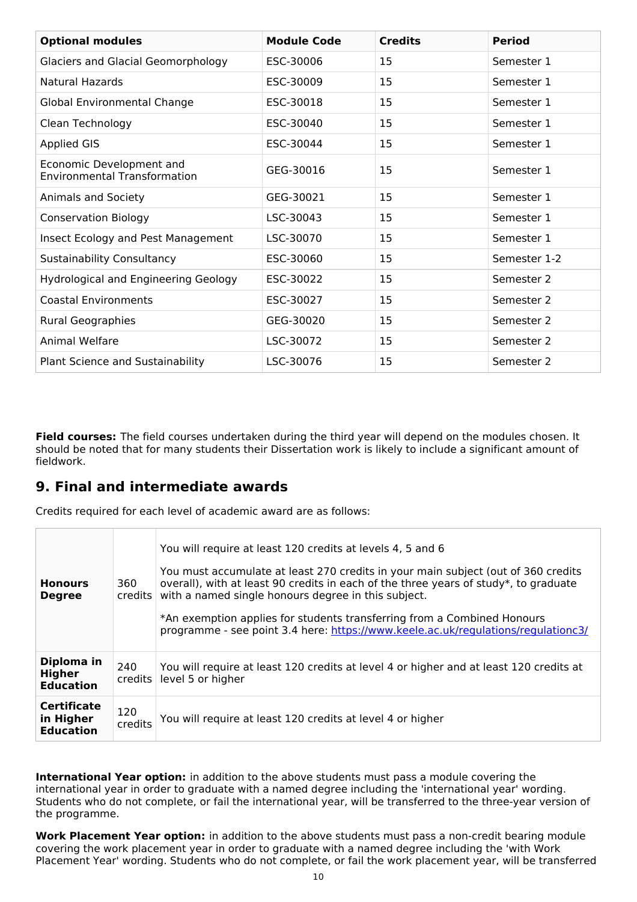| <b>Optional modules</b>                                         | <b>Module Code</b> | <b>Credits</b> | <b>Period</b> |
|-----------------------------------------------------------------|--------------------|----------------|---------------|
| <b>Glaciers and Glacial Geomorphology</b>                       | ESC-30006          | 15             | Semester 1    |
| <b>Natural Hazards</b>                                          | ESC-30009          | 15             | Semester 1    |
| Global Environmental Change                                     | ESC-30018          | 15             | Semester 1    |
| Clean Technology                                                | ESC-30040          | 15             | Semester 1    |
| <b>Applied GIS</b>                                              | ESC-30044          | 15             | Semester 1    |
| Economic Development and<br><b>Environmental Transformation</b> | GEG-30016          | 15             | Semester 1    |
| Animals and Society                                             | GEG-30021          | 15             | Semester 1    |
| <b>Conservation Biology</b>                                     | LSC-30043          | 15             | Semester 1    |
| Insect Ecology and Pest Management                              | LSC-30070          | 15             | Semester 1    |
| <b>Sustainability Consultancy</b>                               | ESC-30060          | 15             | Semester 1-2  |
| <b>Hydrological and Engineering Geology</b>                     | ESC-30022          | 15             | Semester 2    |
| <b>Coastal Environments</b>                                     | ESC-30027          | 15             | Semester 2    |
| Rural Geographies                                               | GEG-30020          | 15             | Semester 2    |
| Animal Welfare                                                  | LSC-30072          | 15             | Semester 2    |
| Plant Science and Sustainability                                | LSC-30076          | 15             | Semester 2    |

**Field courses:** The field courses undertaken during the third year will depend on the modules chosen. It should be noted that for many students their Dissertation work is likely to include a significant amount of fieldwork.

# **9. Final and intermediate awards**

Credits required for each level of academic award are as follows:

| <b>Honours</b><br><b>Degree</b>                     | 360<br>$c$ redits $ $ | You will require at least 120 credits at levels 4, 5 and 6<br>You must accumulate at least 270 credits in your main subject (out of 360 credits<br>overall), with at least 90 credits in each of the three years of study*, to graduate<br>with a named single honours degree in this subject.<br>*An exemption applies for students transferring from a Combined Honours<br>programme - see point 3.4 here: https://www.keele.ac.uk/regulations/regulationc3/ |
|-----------------------------------------------------|-----------------------|----------------------------------------------------------------------------------------------------------------------------------------------------------------------------------------------------------------------------------------------------------------------------------------------------------------------------------------------------------------------------------------------------------------------------------------------------------------|
| Diploma in<br><b>Higher</b><br><b>Education</b>     | 240<br>credits        | You will require at least 120 credits at level 4 or higher and at least 120 credits at<br>level 5 or higher                                                                                                                                                                                                                                                                                                                                                    |
| <b>Certificate</b><br>in Higher<br><b>Education</b> | 120<br>credits        | You will require at least 120 credits at level 4 or higher                                                                                                                                                                                                                                                                                                                                                                                                     |

**International Year option:** in addition to the above students must pass a module covering the international year in order to graduate with a named degree including the 'international year' wording. Students who do not complete, or fail the international year, will be transferred to the three-year version of the programme.

**Work Placement Year option:** in addition to the above students must pass a non-credit bearing module covering the work placement year in order to graduate with a named degree including the 'with Work Placement Year' wording. Students who do not complete, or fail the work placement year, will be transferred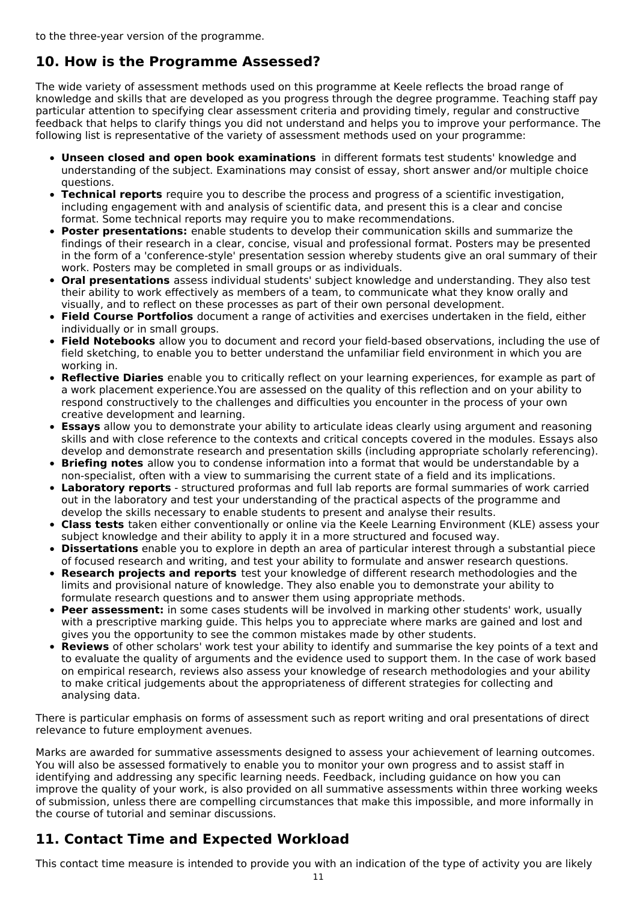# **10. How is the Programme Assessed?**

The wide variety of assessment methods used on this programme at Keele reflects the broad range of knowledge and skills that are developed as you progress through the degree programme. Teaching staff pay particular attention to specifying clear assessment criteria and providing timely, regular and constructive feedback that helps to clarify things you did not understand and helps you to improve your performance. The following list is representative of the variety of assessment methods used on your programme:

- **Unseen closed and open book examinations** in different formats test students' knowledge and understanding of the subject. Examinations may consist of essay, short answer and/or multiple choice questions.
- **Technical reports** require you to describe the process and progress of a scientific investigation, including engagement with and analysis of scientific data, and present this is a clear and concise format. Some technical reports may require you to make recommendations.
- **Poster presentations:** enable students to develop their communication skills and summarize the findings of their research in a clear, concise, visual and professional format. Posters may be presented in the form of a 'conference-style' presentation session whereby students give an oral summary of their work. Posters may be completed in small groups or as individuals.
- **Oral presentations** assess individual students' subject knowledge and understanding. They also test their ability to work effectively as members of a team, to communicate what they know orally and visually, and to reflect on these processes as part of their own personal development.
- **Field Course Portfolios** document a range of activities and exercises undertaken in the field, either individually or in small groups.
- **Field Notebooks** allow you to document and record your field-based observations, including the use of field sketching, to enable you to better understand the unfamiliar field environment in which you are working in.
- **Reflective Diaries** enable you to critically reflect on your learning experiences, for example as part of a work placement experience.You are assessed on the quality of this reflection and on your ability to respond constructively to the challenges and difficulties you encounter in the process of your own creative development and learning.
- **Essays** allow you to demonstrate your ability to articulate ideas clearly using argument and reasoning skills and with close reference to the contexts and critical concepts covered in the modules. Essays also develop and demonstrate research and presentation skills (including appropriate scholarly referencing).
- **Briefing notes** allow you to condense information into a format that would be understandable by a non-specialist, often with a view to summarising the current state of a field and its implications.
- **Laboratory reports** structured proformas and full lab reports are formal summaries of work carried out in the laboratory and test your understanding of the practical aspects of the programme and develop the skills necessary to enable students to present and analyse their results.
- **Class tests** taken either conventionally or online via the Keele Learning Environment (KLE) assess your subject knowledge and their ability to apply it in a more structured and focused way.
- **Dissertations** enable you to explore in depth an area of particular interest through a substantial piece of focused research and writing, and test your ability to formulate and answer research questions.
- **Research projects and reports** test your knowledge of different research methodologies and the limits and provisional nature of knowledge. They also enable you to demonstrate your ability to formulate research questions and to answer them using appropriate methods.
- **Peer assessment:** in some cases students will be involved in marking other students' work, usually with a prescriptive marking guide. This helps you to appreciate where marks are gained and lost and gives you the opportunity to see the common mistakes made by other students.
- **Reviews** of other scholars' work test your ability to identify and summarise the key points of a text and to evaluate the quality of arguments and the evidence used to support them. In the case of work based on empirical research, reviews also assess your knowledge of research methodologies and your ability to make critical judgements about the appropriateness of different strategies for collecting and analysing data.

There is particular emphasis on forms of assessment such as report writing and oral presentations of direct relevance to future employment avenues.

Marks are awarded for summative assessments designed to assess your achievement of learning outcomes. You will also be assessed formatively to enable you to monitor your own progress and to assist staff in identifying and addressing any specific learning needs. Feedback, including guidance on how you can improve the quality of your work, is also provided on all summative assessments within three working weeks of submission, unless there are compelling circumstances that make this impossible, and more informally in the course of tutorial and seminar discussions.

# **11. Contact Time and Expected Workload**

This contact time measure is intended to provide you with an indication of the type of activity you are likely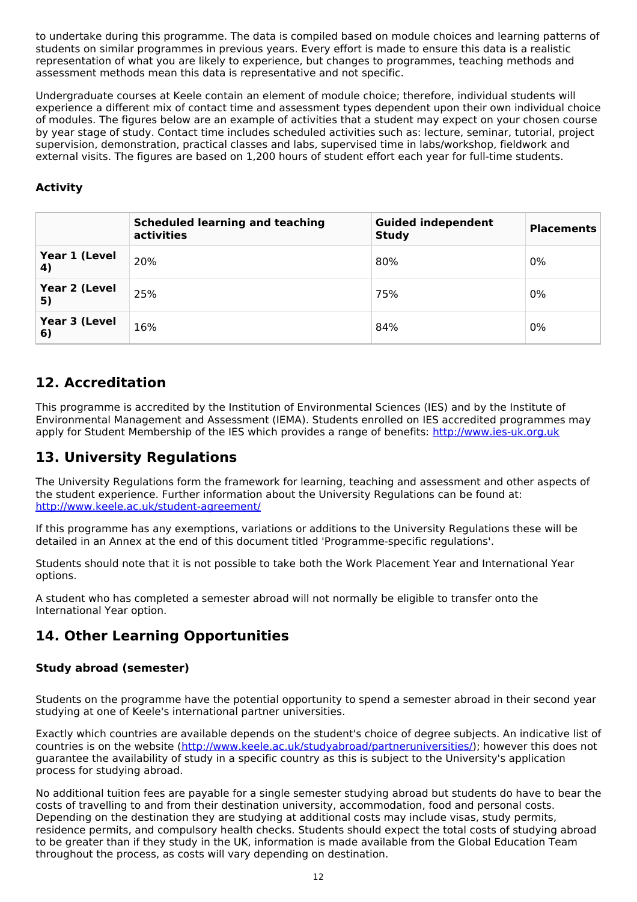to undertake during this programme. The data is compiled based on module choices and learning patterns of students on similar programmes in previous years. Every effort is made to ensure this data is a realistic representation of what you are likely to experience, but changes to programmes, teaching methods and assessment methods mean this data is representative and not specific.

Undergraduate courses at Keele contain an element of module choice; therefore, individual students will experience a different mix of contact time and assessment types dependent upon their own individual choice of modules. The figures below are an example of activities that a student may expect on your chosen course by year stage of study. Contact time includes scheduled activities such as: lecture, seminar, tutorial, project supervision, demonstration, practical classes and labs, supervised time in labs/workshop, fieldwork and external visits. The figures are based on 1,200 hours of student effort each year for full-time students.

### **Activity**

|                     | <b>Scheduled learning and teaching</b><br>activities | <b>Guided independent</b><br><b>Study</b> | <b>Placements</b> |
|---------------------|------------------------------------------------------|-------------------------------------------|-------------------|
| Year 1 (Level<br>4) | 20%                                                  | 80%                                       | 0%                |
| Year 2 (Level<br>5) | 25%                                                  | 75%                                       | 0%                |
| Year 3 (Level<br>6) | 16%                                                  | 84%                                       | 0%                |

# **12. Accreditation**

This programme is accredited by the Institution of Environmental Sciences (IES) and by the Institute of Environmental Management and Assessment (IEMA). Students enrolled on IES accredited programmes may apply for Student Membership of the IES which provides a range of benefits: <http://www.ies-uk.org.uk>

# **13. University Regulations**

The University Regulations form the framework for learning, teaching and assessment and other aspects of the student experience. Further information about the University Regulations can be found at: <http://www.keele.ac.uk/student-agreement/>

If this programme has any exemptions, variations or additions to the University Regulations these will be detailed in an Annex at the end of this document titled 'Programme-specific regulations'.

Students should note that it is not possible to take both the Work Placement Year and International Year options.

A student who has completed a semester abroad will not normally be eligible to transfer onto the International Year option.

# **14. Other Learning Opportunities**

### **Study abroad (semester)**

Students on the programme have the potential opportunity to spend a semester abroad in their second year studying at one of Keele's international partner universities.

Exactly which countries are available depends on the student's choice of degree subjects. An indicative list of countries is on the website (<http://www.keele.ac.uk/studyabroad/partneruniversities/>); however this does not guarantee the availability of study in a specific country as this is subject to the University's application process for studying abroad.

No additional tuition fees are payable for a single semester studying abroad but students do have to bear the costs of travelling to and from their destination university, accommodation, food and personal costs. Depending on the destination they are studying at additional costs may include visas, study permits, residence permits, and compulsory health checks. Students should expect the total costs of studying abroad to be greater than if they study in the UK, information is made available from the Global Education Team throughout the process, as costs will vary depending on destination.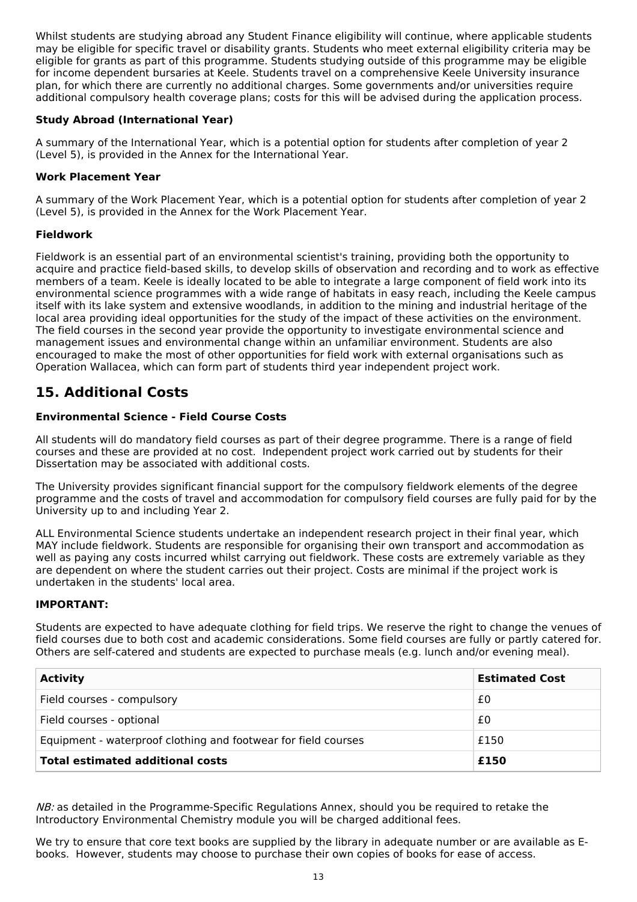Whilst students are studying abroad any Student Finance eligibility will continue, where applicable students may be eligible for specific travel or disability grants. Students who meet external eligibility criteria may be eligible for grants as part of this programme. Students studying outside of this programme may be eligible for income dependent bursaries at Keele. Students travel on a comprehensive Keele University insurance plan, for which there are currently no additional charges. Some governments and/or universities require additional compulsory health coverage plans; costs for this will be advised during the application process.

#### **Study Abroad (International Year)**

A summary of the International Year, which is a potential option for students after completion of year 2 (Level 5), is provided in the Annex for the International Year.

#### **Work Placement Year**

A summary of the Work Placement Year, which is a potential option for students after completion of year 2 (Level 5), is provided in the Annex for the Work Placement Year.

#### **Fieldwork**

Fieldwork is an essential part of an environmental scientist's training, providing both the opportunity to acquire and practice field-based skills, to develop skills of observation and recording and to work as effective members of a team. Keele is ideally located to be able to integrate a large component of field work into its environmental science programmes with a wide range of habitats in easy reach, including the Keele campus itself with its lake system and extensive woodlands, in addition to the mining and industrial heritage of the local area providing ideal opportunities for the study of the impact of these activities on the environment. The field courses in the second year provide the opportunity to investigate environmental science and management issues and environmental change within an unfamiliar environment. Students are also encouraged to make the most of other opportunities for field work with external organisations such as Operation Wallacea, which can form part of students third year independent project work.

# **15. Additional Costs**

#### **Environmental Science - Field Course Costs**

All students will do mandatory field courses as part of their degree programme. There is a range of field courses and these are provided at no cost. Independent project work carried out by students for their Dissertation may be associated with additional costs.

The University provides significant financial support for the compulsory fieldwork elements of the degree programme and the costs of travel and accommodation for compulsory field courses are fully paid for by the University up to and including Year 2.

ALL Environmental Science students undertake an independent research project in their final year, which MAY include fieldwork. Students are responsible for organising their own transport and accommodation as well as paying any costs incurred whilst carrying out fieldwork. These costs are extremely variable as they are dependent on where the student carries out their project. Costs are minimal if the project work is undertaken in the students' local area.

#### **IMPORTANT:**

Students are expected to have adequate clothing for field trips. We reserve the right to change the venues of field courses due to both cost and academic considerations. Some field courses are fully or partly catered for. Others are self-catered and students are expected to purchase meals (e.g. lunch and/or evening meal).

| <b>Activity</b>                                                | <b>Estimated Cost</b> |
|----------------------------------------------------------------|-----------------------|
| Field courses - compulsory                                     | £0                    |
| Field courses - optional                                       | £0                    |
| Equipment - waterproof clothing and footwear for field courses | £150                  |
| <b>Total estimated additional costs</b>                        | £150                  |

 $NB:$  as detailed in the Programme-Specific Regulations Annex, should you be required to retake the Introductory Environmental Chemistry module you will be charged additional fees.

We try to ensure that core text books are supplied by the library in adequate number or are available as Ebooks. However, students may choose to purchase their own copies of books for ease of access.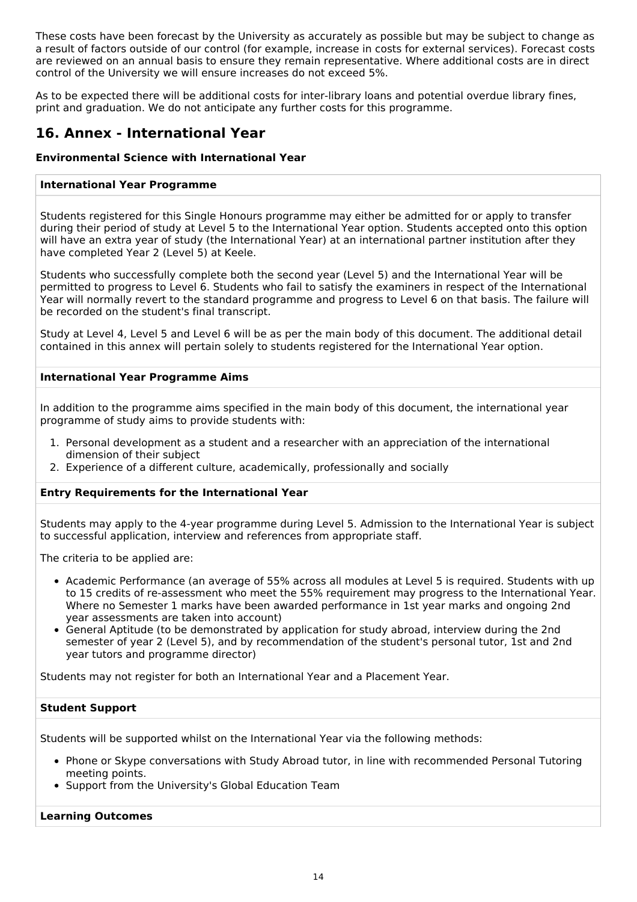These costs have been forecast by the University as accurately as possible but may be subject to change as a result of factors outside of our control (for example, increase in costs for external services). Forecast costs are reviewed on an annual basis to ensure they remain representative. Where additional costs are in direct control of the University we will ensure increases do not exceed 5%.

As to be expected there will be additional costs for inter-library loans and potential overdue library fines, print and graduation. We do not anticipate any further costs for this programme.

# **16. Annex - International Year**

#### **Environmental Science with International Year**

#### **International Year Programme**

Students registered for this Single Honours programme may either be admitted for or apply to transfer during their period of study at Level 5 to the International Year option. Students accepted onto this option will have an extra year of study (the International Year) at an international partner institution after they have completed Year 2 (Level 5) at Keele.

Students who successfully complete both the second year (Level 5) and the International Year will be permitted to progress to Level 6. Students who fail to satisfy the examiners in respect of the International Year will normally revert to the standard programme and progress to Level 6 on that basis. The failure will be recorded on the student's final transcript.

Study at Level 4, Level 5 and Level 6 will be as per the main body of this document. The additional detail contained in this annex will pertain solely to students registered for the International Year option.

#### **International Year Programme Aims**

In addition to the programme aims specified in the main body of this document, the international year programme of study aims to provide students with:

- 1. Personal development as a student and a researcher with an appreciation of the international dimension of their subject
- 2. Experience of a different culture, academically, professionally and socially

#### **Entry Requirements for the International Year**

Students may apply to the 4-year programme during Level 5. Admission to the International Year is subject to successful application, interview and references from appropriate staff.

The criteria to be applied are:

- Academic Performance (an average of 55% across all modules at Level 5 is required. Students with up to 15 credits of re-assessment who meet the 55% requirement may progress to the International Year. Where no Semester 1 marks have been awarded performance in 1st year marks and ongoing 2nd year assessments are taken into account)
- General Aptitude (to be demonstrated by application for study abroad, interview during the 2nd semester of year 2 (Level 5), and by recommendation of the student's personal tutor, 1st and 2nd year tutors and programme director)

Students may not register for both an International Year and a Placement Year.

#### **Student Support**

Students will be supported whilst on the International Year via the following methods:

- Phone or Skype conversations with Study Abroad tutor, in line with recommended Personal Tutoring meeting points.
- Support from the University's Global Education Team

#### **Learning Outcomes**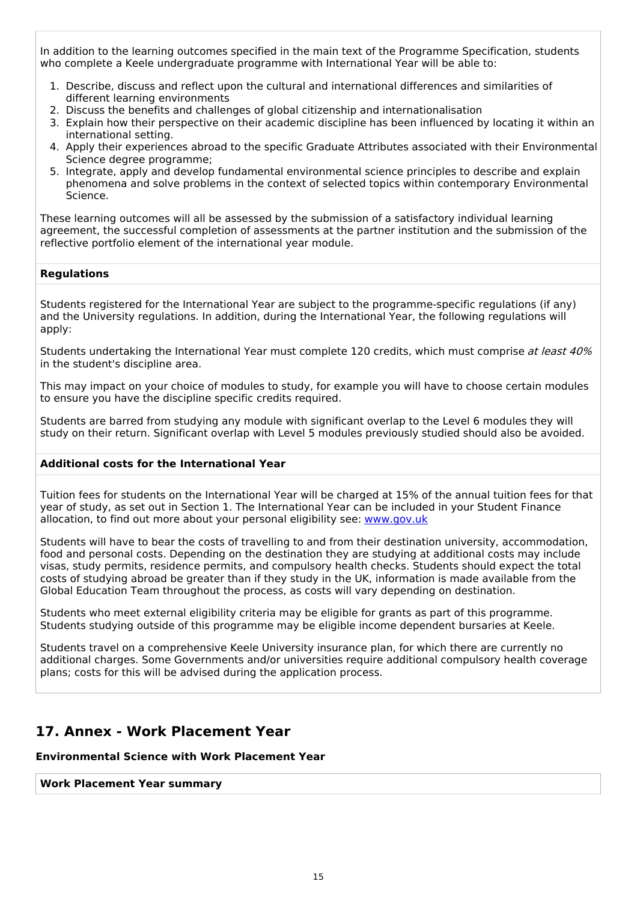In addition to the learning outcomes specified in the main text of the Programme Specification, students who complete a Keele undergraduate programme with International Year will be able to:

- 1. Describe, discuss and reflect upon the cultural and international differences and similarities of different learning environments
- 2. Discuss the benefits and challenges of global citizenship and internationalisation
- 3. Explain how their perspective on their academic discipline has been influenced by locating it within an international setting.
- 4. Apply their experiences abroad to the specific Graduate Attributes associated with their Environmental Science degree programme;
- 5. Integrate, apply and develop fundamental environmental science principles to describe and explain phenomena and solve problems in the context of selected topics within contemporary Environmental Science.

These learning outcomes will all be assessed by the submission of a satisfactory individual learning agreement, the successful completion of assessments at the partner institution and the submission of the reflective portfolio element of the international year module.

#### **Regulations**

Students registered for the International Year are subject to the programme-specific regulations (if any) and the University regulations. In addition, during the International Year, the following regulations will apply:

Students undertaking the International Year must complete 120 credits, which must comprise at least 40% in the student's discipline area.

This may impact on your choice of modules to study, for example you will have to choose certain modules to ensure you have the discipline specific credits required.

Students are barred from studying any module with significant overlap to the Level 6 modules they will study on their return. Significant overlap with Level 5 modules previously studied should also be avoided.

#### **Additional costs for the International Year**

Tuition fees for students on the International Year will be charged at 15% of the annual tuition fees for that year of study, as set out in Section 1. The International Year can be included in your Student Finance allocation, to find out more about your personal eligibility see: [www.gov.uk](http://www.gov.uk/)

Students will have to bear the costs of travelling to and from their destination university, accommodation, food and personal costs. Depending on the destination they are studying at additional costs may include visas, study permits, residence permits, and compulsory health checks. Students should expect the total costs of studying abroad be greater than if they study in the UK, information is made available from the Global Education Team throughout the process, as costs will vary depending on destination.

Students who meet external eligibility criteria may be eligible for grants as part of this programme. Students studying outside of this programme may be eligible income dependent bursaries at Keele.

Students travel on a comprehensive Keele University insurance plan, for which there are currently no additional charges. Some Governments and/or universities require additional compulsory health coverage plans; costs for this will be advised during the application process.

### **17. Annex - Work Placement Year**

#### **Environmental Science with Work Placement Year**

**Work Placement Year summary**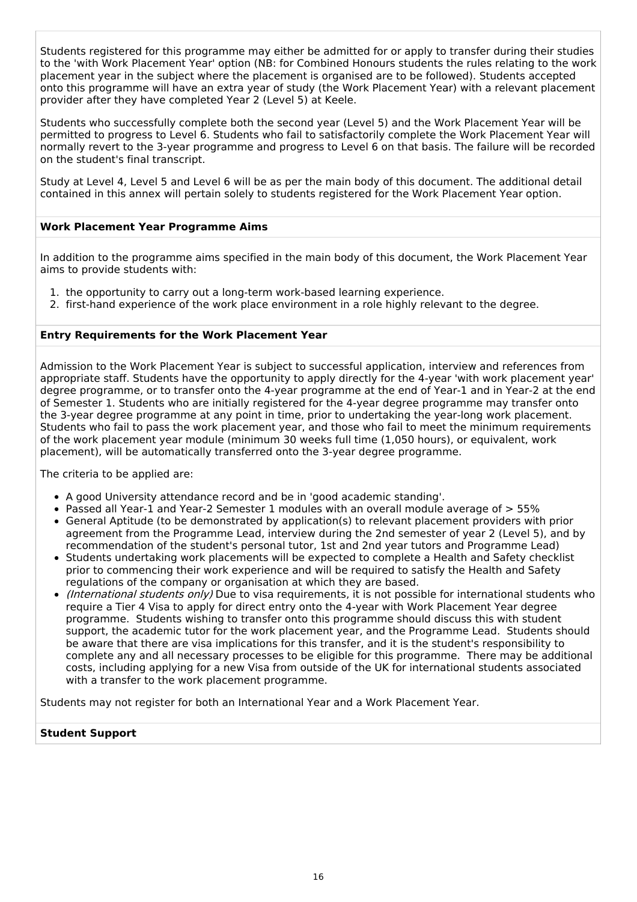Students registered for this programme may either be admitted for or apply to transfer during their studies to the 'with Work Placement Year' option (NB: for Combined Honours students the rules relating to the work placement year in the subject where the placement is organised are to be followed). Students accepted onto this programme will have an extra year of study (the Work Placement Year) with a relevant placement provider after they have completed Year 2 (Level 5) at Keele.

Students who successfully complete both the second year (Level 5) and the Work Placement Year will be permitted to progress to Level 6. Students who fail to satisfactorily complete the Work Placement Year will normally revert to the 3-year programme and progress to Level 6 on that basis. The failure will be recorded on the student's final transcript.

Study at Level 4, Level 5 and Level 6 will be as per the main body of this document. The additional detail contained in this annex will pertain solely to students registered for the Work Placement Year option.

#### **Work Placement Year Programme Aims**

In addition to the programme aims specified in the main body of this document, the Work Placement Year aims to provide students with:

- 1. the opportunity to carry out a long-term work-based learning experience.
- 2. first-hand experience of the work place environment in a role highly relevant to the degree.

#### **Entry Requirements for the Work Placement Year**

Admission to the Work Placement Year is subject to successful application, interview and references from appropriate staff. Students have the opportunity to apply directly for the 4-year 'with work placement year' degree programme, or to transfer onto the 4-year programme at the end of Year-1 and in Year-2 at the end of Semester 1. Students who are initially registered for the 4-year degree programme may transfer onto the 3-year degree programme at any point in time, prior to undertaking the year-long work placement. Students who fail to pass the work placement year, and those who fail to meet the minimum requirements of the work placement year module (minimum 30 weeks full time (1,050 hours), or equivalent, work placement), will be automatically transferred onto the 3-year degree programme.

The criteria to be applied are:

- A good University attendance record and be in 'good academic standing'.
- Passed all Year-1 and Year-2 Semester 1 modules with an overall module average of > 55%
- General Aptitude (to be demonstrated by application(s) to relevant placement providers with prior agreement from the Programme Lead, interview during the 2nd semester of year 2 (Level 5), and by recommendation of the student's personal tutor, 1st and 2nd year tutors and Programme Lead)
- Students undertaking work placements will be expected to complete a Health and Safety checklist prior to commencing their work experience and will be required to satisfy the Health and Safety regulations of the company or organisation at which they are based.
- (International students only) Due to visa requirements, it is not possible for international students who require a Tier 4 Visa to apply for direct entry onto the 4-year with Work Placement Year degree programme. Students wishing to transfer onto this programme should discuss this with student support, the academic tutor for the work placement year, and the Programme Lead. Students should be aware that there are visa implications for this transfer, and it is the student's responsibility to complete any and all necessary processes to be eligible for this programme. There may be additional costs, including applying for a new Visa from outside of the UK for international students associated with a transfer to the work placement programme.

Students may not register for both an International Year and a Work Placement Year.

#### **Student Support**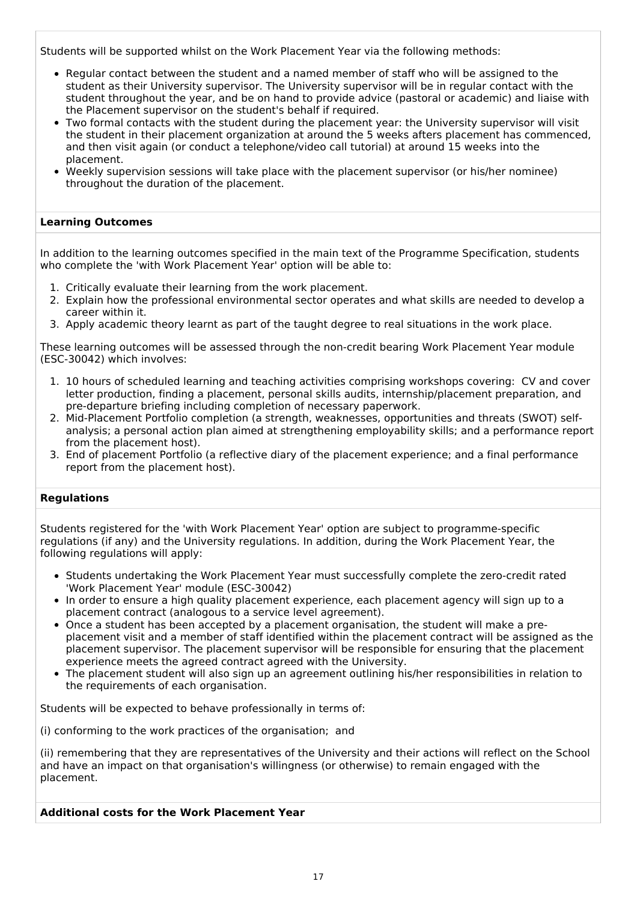Students will be supported whilst on the Work Placement Year via the following methods:

- Regular contact between the student and a named member of staff who will be assigned to the student as their University supervisor. The University supervisor will be in regular contact with the student throughout the year, and be on hand to provide advice (pastoral or academic) and liaise with the Placement supervisor on the student's behalf if required.
- Two formal contacts with the student during the placement year: the University supervisor will visit the student in their placement organization at around the 5 weeks afters placement has commenced, and then visit again (or conduct a telephone/video call tutorial) at around 15 weeks into the placement.
- Weekly supervision sessions will take place with the placement supervisor (or his/her nominee) throughout the duration of the placement.

#### **Learning Outcomes**

In addition to the learning outcomes specified in the main text of the Programme Specification, students who complete the 'with Work Placement Year' option will be able to:

- 1. Critically evaluate their learning from the work placement.
- 2. Explain how the professional environmental sector operates and what skills are needed to develop a career within it.
- 3. Apply academic theory learnt as part of the taught degree to real situations in the work place.

These learning outcomes will be assessed through the non-credit bearing Work Placement Year module (ESC-30042) which involves:

- 1. 10 hours of scheduled learning and teaching activities comprising workshops covering: CV and cover letter production, finding a placement, personal skills audits, internship/placement preparation, and pre-departure briefing including completion of necessary paperwork.
- 2. Mid-Placement Portfolio completion (a strength, weaknesses, opportunities and threats (SWOT) selfanalysis; a personal action plan aimed at strengthening employability skills; and a performance report from the placement host).
- 3. End of placement Portfolio (a reflective diary of the placement experience; and a final performance report from the placement host).

#### **Regulations**

Students registered for the 'with Work Placement Year' option are subject to programme-specific regulations (if any) and the University regulations. In addition, during the Work Placement Year, the following regulations will apply:

- Students undertaking the Work Placement Year must successfully complete the zero-credit rated 'Work Placement Year' module (ESC-30042)
- In order to ensure a high quality placement experience, each placement agency will sign up to a placement contract (analogous to a service level agreement).
- Once a student has been accepted by a placement organisation, the student will make a preplacement visit and a member of staff identified within the placement contract will be assigned as the placement supervisor. The placement supervisor will be responsible for ensuring that the placement experience meets the agreed contract agreed with the University.
- The placement student will also sign up an agreement outlining his/her responsibilities in relation to the requirements of each organisation.

Students will be expected to behave professionally in terms of:

(i) conforming to the work practices of the organisation; and

(ii) remembering that they are representatives of the University and their actions will reflect on the School and have an impact on that organisation's willingness (or otherwise) to remain engaged with the placement.

#### **Additional costs for the Work Placement Year**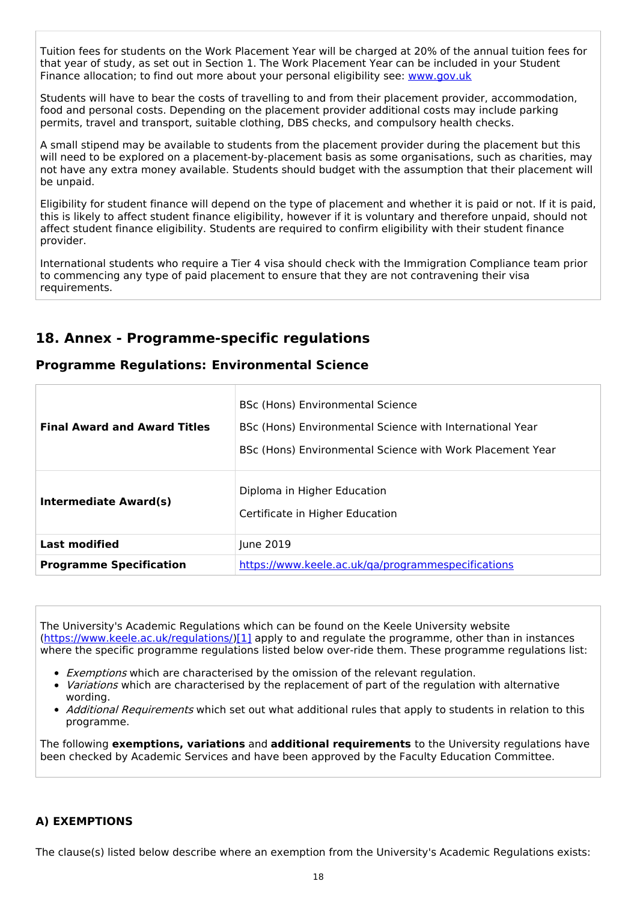Tuition fees for students on the Work Placement Year will be charged at 20% of the annual tuition fees for that year of study, as set out in Section 1. The Work Placement Year can be included in your Student Finance allocation; to find out more about your personal eligibility see: [www.gov.uk](http://www.gov.uk/)

Students will have to bear the costs of travelling to and from their placement provider, accommodation, food and personal costs. Depending on the placement provider additional costs may include parking permits, travel and transport, suitable clothing, DBS checks, and compulsory health checks.

A small stipend may be available to students from the placement provider during the placement but this will need to be explored on a placement-by-placement basis as some organisations, such as charities, may not have any extra money available. Students should budget with the assumption that their placement will be unpaid.

Eligibility for student finance will depend on the type of placement and whether it is paid or not. If it is paid, this is likely to affect student finance eligibility, however if it is voluntary and therefore unpaid, should not affect student finance eligibility. Students are required to confirm eligibility with their student finance provider.

International students who require a Tier 4 visa should check with the Immigration Compliance team prior to commencing any type of paid placement to ensure that they are not contravening their visa requirements.

# **18. Annex - Programme-specific regulations**

### **Programme Regulations: Environmental Science**

| <b>Final Award and Award Titles</b> | BSc (Hons) Environmental Science<br>BSc (Hons) Environmental Science with International Year<br>BSc (Hons) Environmental Science with Work Placement Year |  |
|-------------------------------------|-----------------------------------------------------------------------------------------------------------------------------------------------------------|--|
| Intermediate Award(s)               | Diploma in Higher Education<br>Certificate in Higher Education                                                                                            |  |
| <b>Last modified</b>                | June 2019                                                                                                                                                 |  |
| <b>Programme Specification</b>      | https://www.keele.ac.uk/ga/programmespecifications                                                                                                        |  |

The University's Academic Regulations which can be found on the Keele University website [\(https://www.keele.ac.uk/regulations/](https://www.keele.ac.uk/regulations/)[\)\[1\]](https://scims-api.keele.ac.uk/#_ftn1) apply to and regulate the programme, other than in instances where the specific programme regulations listed below over-ride them. These programme regulations list:

- **Exemptions which are characterised by the omission of the relevant regulation.**
- Variations which are characterised by the replacement of part of the regulation with alternative wording.
- Additional Requirements which set out what additional rules that apply to students in relation to this programme.

The following **exemptions, variations** and **additional requirements** to the University regulations have been checked by Academic Services and have been approved by the Faculty Education Committee.

### **A) EXEMPTIONS**

The clause(s) listed below describe where an exemption from the University's Academic Regulations exists: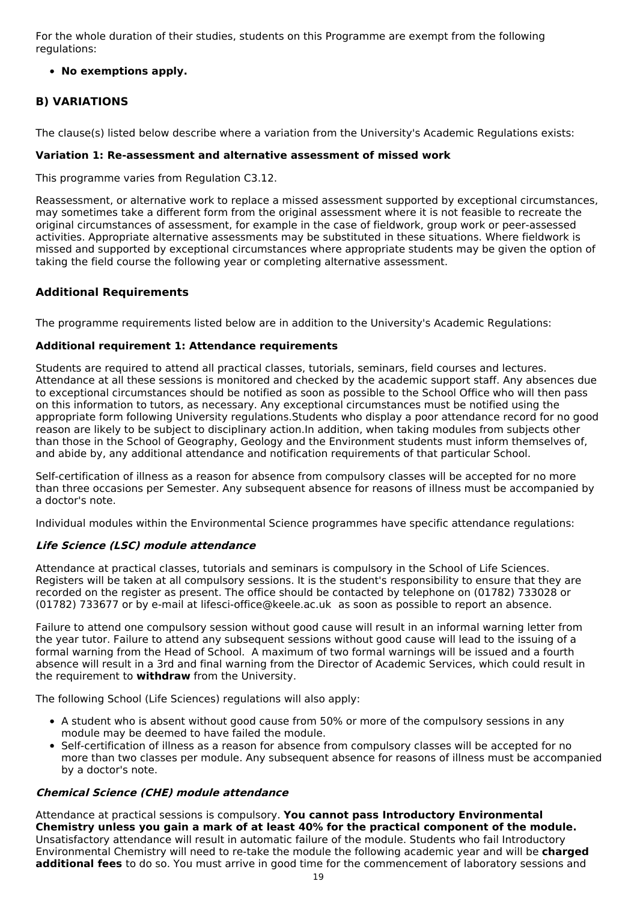For the whole duration of their studies, students on this Programme are exempt from the following regulations:

#### **No exemptions apply.**

### **B) VARIATIONS**

The clause(s) listed below describe where a variation from the University's Academic Regulations exists:

#### **Variation 1: Re-assessment and alternative assessment of missed work**

This programme varies from Regulation C3.12.

Reassessment, or alternative work to replace a missed assessment supported by exceptional circumstances, may sometimes take a different form from the original assessment where it is not feasible to recreate the original circumstances of assessment, for example in the case of fieldwork, group work or peer-assessed activities. Appropriate alternative assessments may be substituted in these situations. Where fieldwork is missed and supported by exceptional circumstances where appropriate students may be given the option of taking the field course the following year or completing alternative assessment.

### **Additional Requirements**

The programme requirements listed below are in addition to the University's Academic Regulations:

#### **Additional requirement 1: Attendance requirements**

Students are required to attend all practical classes, tutorials, seminars, field courses and lectures. Attendance at all these sessions is monitored and checked by the academic support staff. Any absences due to exceptional circumstances should be notified as soon as possible to the School Office who will then pass on this information to tutors, as necessary. Any exceptional circumstances must be notified using the appropriate form following University regulations.Students who display a poor attendance record for no good reason are likely to be subject to disciplinary action.In addition, when taking modules from subjects other than those in the School of Geography, Geology and the Environment students must inform themselves of, and abide by, any additional attendance and notification requirements of that particular School.

Self-certification of illness as a reason for absence from compulsory classes will be accepted for no more than three occasions per Semester. Any subsequent absence for reasons of illness must be accompanied by a doctor's note.

Individual modules within the Environmental Science programmes have specific attendance regulations:

#### **Life Science (LSC) module attendance**

Attendance at practical classes, tutorials and seminars is compulsory in the School of Life Sciences. Registers will be taken at all compulsory sessions. It is the student's responsibility to ensure that they are recorded on the register as present. The office should be contacted by telephone on (01782) 733028 or (01782) 733677 or by e-mail at lifesci-office@keele.ac.uk as soon as possible to report an absence.

Failure to attend one compulsory session without good cause will result in an informal warning letter from the year tutor. Failure to attend any subsequent sessions without good cause will lead to the issuing of a formal warning from the Head of School. A maximum of two formal warnings will be issued and a fourth absence will result in a 3rd and final warning from the Director of Academic Services, which could result in the requirement to **withdraw** from the University.

The following School (Life Sciences) regulations will also apply:

- A student who is absent without good cause from 50% or more of the compulsory sessions in any module may be deemed to have failed the module.
- Self-certification of illness as a reason for absence from compulsory classes will be accepted for no more than two classes per module. Any subsequent absence for reasons of illness must be accompanied by a doctor's note.

### **Chemical Science (CHE) module attendance**

Attendance at practical sessions is compulsory. **You cannot pass Introductory Environmental Chemistry unless you gain a mark of at least 40% for the practical component of the module.** Unsatisfactory attendance will result in automatic failure of the module. Students who fail Introductory Environmental Chemistry will need to re-take the module the following academic year and will be **charged additional fees** to do so. You must arrive in good time for the commencement of laboratory sessions and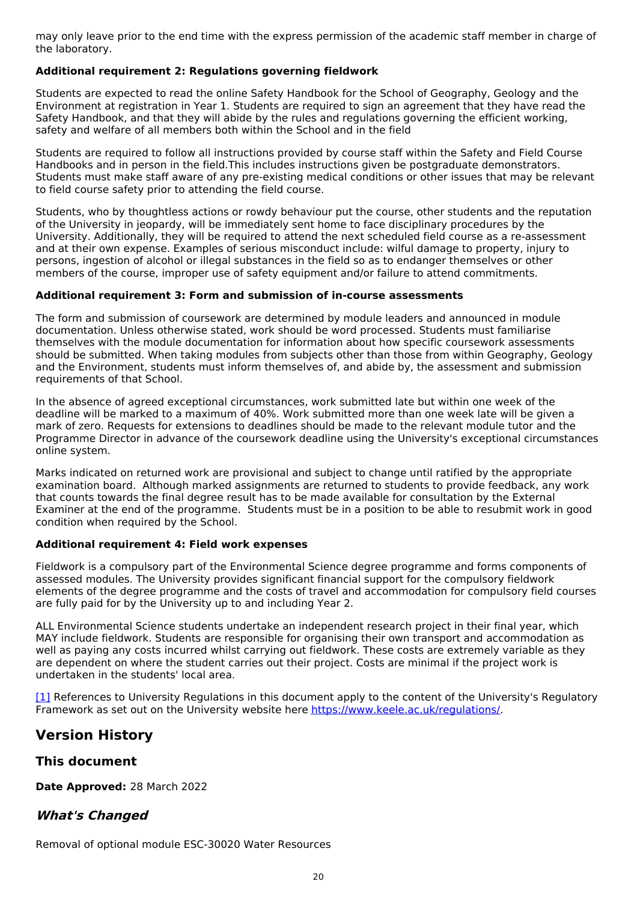may only leave prior to the end time with the express permission of the academic staff member in charge of the laboratory.

#### **Additional requirement 2: Regulations governing fieldwork**

Students are expected to read the online Safety Handbook for the School of Geography, Geology and the Environment at registration in Year 1. Students are required to sign an agreement that they have read the Safety Handbook, and that they will abide by the rules and regulations governing the efficient working, safety and welfare of all members both within the School and in the field

Students are required to follow all instructions provided by course staff within the Safety and Field Course Handbooks and in person in the field.This includes instructions given be postgraduate demonstrators. Students must make staff aware of any pre-existing medical conditions or other issues that may be relevant to field course safety prior to attending the field course.

Students, who by thoughtless actions or rowdy behaviour put the course, other students and the reputation of the University in jeopardy, will be immediately sent home to face disciplinary procedures by the University. Additionally, they will be required to attend the next scheduled field course as a re-assessment and at their own expense. Examples of serious misconduct include: wilful damage to property, injury to persons, ingestion of alcohol or illegal substances in the field so as to endanger themselves or other members of the course, improper use of safety equipment and/or failure to attend commitments.

#### **Additional requirement 3: Form and submission of in-course assessments**

The form and submission of coursework are determined by module leaders and announced in module documentation. Unless otherwise stated, work should be word processed. Students must familiarise themselves with the module documentation for information about how specific coursework assessments should be submitted. When taking modules from subjects other than those from within Geography, Geology and the Environment, students must inform themselves of, and abide by, the assessment and submission requirements of that School.

In the absence of agreed exceptional circumstances, work submitted late but within one week of the deadline will be marked to a maximum of 40%. Work submitted more than one week late will be given a mark of zero. Requests for extensions to deadlines should be made to the relevant module tutor and the Programme Director in advance of the coursework deadline using the University's exceptional circumstances online system.

Marks indicated on returned work are provisional and subject to change until ratified by the appropriate examination board. Although marked assignments are returned to students to provide feedback, any work that counts towards the final degree result has to be made available for consultation by the External Examiner at the end of the programme. Students must be in a position to be able to resubmit work in good condition when required by the School.

#### **Additional requirement 4: Field work expenses**

Fieldwork is a compulsory part of the Environmental Science degree programme and forms components of assessed modules. The University provides significant financial support for the compulsory fieldwork elements of the degree programme and the costs of travel and accommodation for compulsory field courses are fully paid for by the University up to and including Year 2.

ALL Environmental Science students undertake an independent research project in their final year, which MAY include fieldwork. Students are responsible for organising their own transport and accommodation as well as paying any costs incurred whilst carrying out fieldwork. These costs are extremely variable as they are dependent on where the student carries out their project. Costs are minimal if the project work is undertaken in the students' local area.

[\[1\]](https://scims-api.keele.ac.uk/#_ftnref1) References to University Regulations in this document apply to the content of the University's Regulatory Framework as set out on the University website here <https://www.keele.ac.uk/regulations/>.

### **Version History**

### **This document**

**Date Approved:** 28 March 2022

### **What's Changed**

Removal of optional module ESC-30020 Water Resources